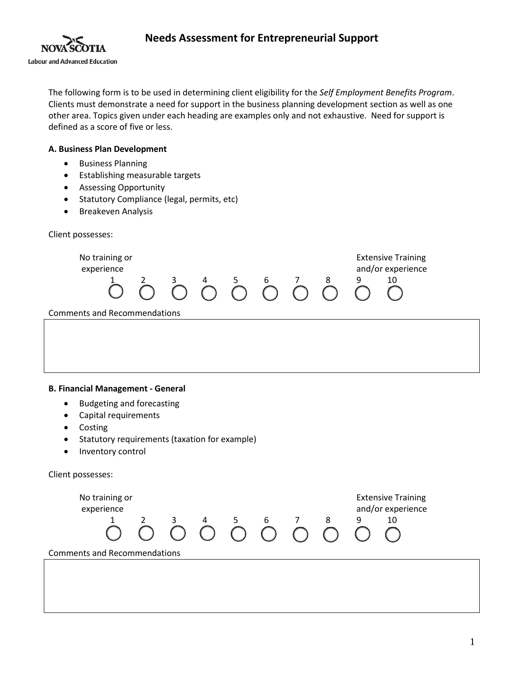

The following form is to be used in determining client eligibility for the *Self Employment Benefits Program*. Clients must demonstrate a need for support in the business planning development section as well as one other area. Topics given under each heading are examples only and not exhaustive. Need for support is defined as a score of five or less.

### **A. Business Plan Development**

- Business Planning
- Establishing measurable targets
- Assessing Opportunity
- Statutory Compliance (legal, permits, etc)
- Breakeven Analysis

Client possesses:

| No training or<br>experience        |  |  |  | $\bigcirc^{2}$ $\bigcirc^{3}$ $\bigcirc^{4}$ $\bigcirc^{5}$ $\bigcirc^{6}$ $\bigcirc^{7}$ $\bigcirc^{8}$ ( | <b>Extensive Training</b><br>and/or experience<br>10 |  |
|-------------------------------------|--|--|--|------------------------------------------------------------------------------------------------------------|------------------------------------------------------|--|
| <b>Comments and Recommendations</b> |  |  |  |                                                                                                            |                                                      |  |
|                                     |  |  |  |                                                                                                            |                                                      |  |
|                                     |  |  |  |                                                                                                            |                                                      |  |
|                                     |  |  |  |                                                                                                            |                                                      |  |
|                                     |  |  |  |                                                                                                            |                                                      |  |

### **B. Financial Management - General**

- Budgeting and forecasting
- Capital requirements
- Costing
- Statutory requirements (taxation for example)
- Inventory control

Client possesses:

| No training or<br>experience        |  |  |   |  |                 |  |  |   | <b>Extensive Training</b><br>and/or experience |  |
|-------------------------------------|--|--|---|--|-----------------|--|--|---|------------------------------------------------|--|
|                                     |  |  | 4 |  | $6\overline{6}$ |  |  | 9 | 10                                             |  |
| <b>Comments and Recommendations</b> |  |  |   |  |                 |  |  |   |                                                |  |
|                                     |  |  |   |  |                 |  |  |   |                                                |  |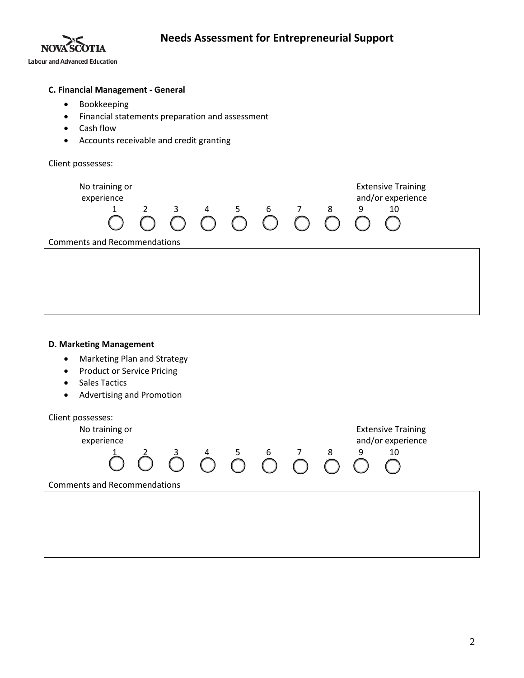



### **C. Financial Management - General**

- Bookkeeping
- Financial statements preparation and assessment
- Cash flow
- Accounts receivable and credit granting

Client possesses:

| No training or<br>experience        |  | 3 | 4 | $5 -$ | 6<br>$\begin{array}{cccccccccccccc} \cap & \cap & \cap & \cap & \cap & \cap \end{array}$ |  | 8 | 9 | <b>Extensive Training</b><br>and/or experience<br>10 |  |
|-------------------------------------|--|---|---|-------|------------------------------------------------------------------------------------------|--|---|---|------------------------------------------------------|--|
| <b>Comments and Recommendations</b> |  |   |   |       |                                                                                          |  |   |   |                                                      |  |
|                                     |  |   |   |       |                                                                                          |  |   |   |                                                      |  |
|                                     |  |   |   |       |                                                                                          |  |   |   |                                                      |  |

### **D. Marketing Management**

- Marketing Plan and Strategy
- Product or Service Pricing
- Sales Tactics
- Advertising and Promotion

Client possesses: No training or **Extensive Training** experience<br>  $\overrightarrow{1}$   $\overrightarrow{0}$   $\overrightarrow{0}$   $\overrightarrow{0}$   $\overrightarrow{0}$   $\overrightarrow{0}$   $\overrightarrow{0}$   $\overrightarrow{0}$   $\overrightarrow{0}$   $\overrightarrow{0}$   $\overrightarrow{0}$   $\overrightarrow{0}$   $\overrightarrow{0}$   $\overrightarrow{0}$   $\overrightarrow{0}$   $\overrightarrow{0}$   $\overrightarrow{0}$   $\overrightarrow{0}$ 1 2 3 4 5 6 7 8 9 10 0000000000 Comments and Recommendations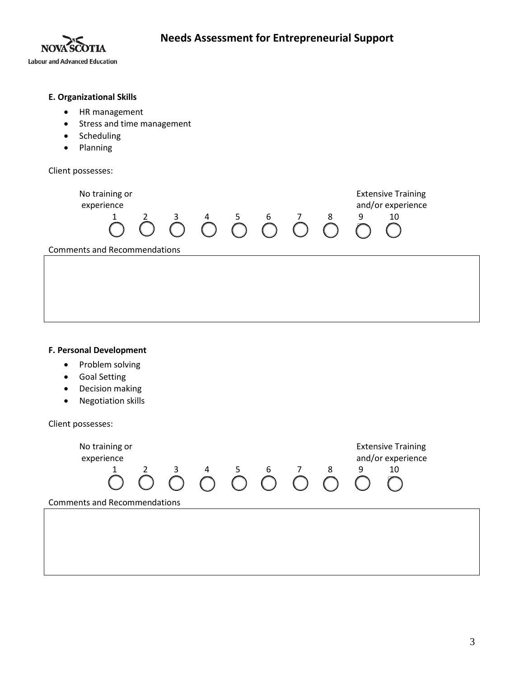

# **E. Organizational Skills** • HR management • Stress and time management • Scheduling • Planning Client possesses: No training or **Extensive Training** experience and and or experience and a set of the set of the set of the set of the set of the set of the set of the set of the set of the set of the set of the set of the set of the set of the set of the set of the set of 1 2 3 4 5 6 7 8 9 10 0 0 0 0 0 0 0 0 0 0 Comments and Recommendations

### **F. Personal Development**

- Problem solving
- Goal Setting
- Decision making
- Negotiation skills

Client possesses: